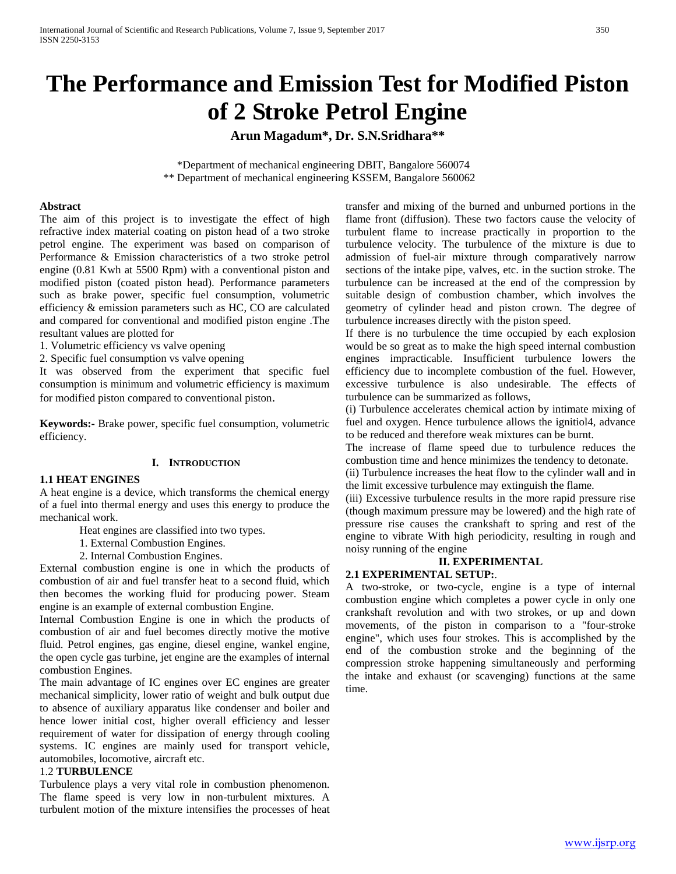# **The Performance and Emission Test for Modified Piston of 2 Stroke Petrol Engine**

**Arun Magadum\*, Dr. S.N.Sridhara\*\***

 \*Department of mechanical engineering DBIT, Bangalore 560074 \*\* Department of mechanical engineering KSSEM, Bangalore 560062

#### **Abstract**

The aim of this project is to investigate the effect of high refractive index material coating on piston head of a two stroke petrol engine. The experiment was based on comparison of Performance & Emission characteristics of a two stroke petrol engine (0.81 Kwh at 5500 Rpm) with a conventional piston and modified piston (coated piston head). Performance parameters such as brake power, specific fuel consumption, volumetric efficiency & emission parameters such as HC, CO are calculated and compared for conventional and modified piston engine .The resultant values are plotted for

1. Volumetric efficiency vs valve opening

2. Specific fuel consumption vs valve opening

It was observed from the experiment that specific fuel consumption is minimum and volumetric efficiency is maximum for modified piston compared to conventional piston.

**Keywords:-** Brake power, specific fuel consumption, volumetric efficiency.

#### **I. INTRODUCTION**

#### **1.1 HEAT ENGINES**

A heat engine is a device, which transforms the chemical energy of a fuel into thermal energy and uses this energy to produce the mechanical work.

Heat engines are classified into two types.

- 1. External Combustion Engines.
- 2. Internal Combustion Engines.

External combustion engine is one in which the products of combustion of air and fuel transfer heat to a second fluid, which then becomes the working fluid for producing power. Steam engine is an example of external combustion Engine.

Internal Combustion Engine is one in which the products of combustion of air and fuel becomes directly motive the motive fluid. Petrol engines, gas engine, diesel engine, wankel engine, the open cycle gas turbine, jet engine are the examples of internal combustion Engines.

The main advantage of IC engines over EC engines are greater mechanical simplicity, lower ratio of weight and bulk output due to absence of auxiliary apparatus like condenser and boiler and hence lower initial cost, higher overall efficiency and lesser requirement of water for dissipation of energy through cooling systems. IC engines are mainly used for transport vehicle, automobiles, locomotive, aircraft etc.

#### 1.2 **TURBULENCE**

Turbulence plays a very vital role in combustion phenomenon. The flame speed is very low in non-turbulent mixtures. A turbulent motion of the mixture intensifies the processes of heat transfer and mixing of the burned and unburned portions in the flame front (diffusion). These two factors cause the velocity of turbulent flame to increase practically in proportion to the turbulence velocity. The turbulence of the mixture is due to admission of fuel-air mixture through comparatively narrow sections of the intake pipe, valves, etc. in the suction stroke. The turbulence can be increased at the end of the compression by suitable design of combustion chamber, which involves the geometry of cylinder head and piston crown. The degree of turbulence increases directly with the piston speed.

If there is no turbulence the time occupied by each explosion would be so great as to make the high speed internal combustion engines impracticable. Insufficient turbulence lowers the efficiency due to incomplete combustion of the fuel. However, excessive turbulence is also undesirable. The effects of turbulence can be summarized as follows,

(i) Turbulence accelerates chemical action by intimate mixing of fuel and oxygen. Hence turbulence allows the ignitiol4, advance to be reduced and therefore weak mixtures can be burnt.

The increase of flame speed due to turbulence reduces the combustion time and hence minimizes the tendency to detonate.

(ii) Turbulence increases the heat flow to the cylinder wall and in the limit excessive turbulence may extinguish the flame.

(iii) Excessive turbulence results in the more rapid pressure rise (though maximum pressure may be lowered) and the high rate of pressure rise causes the crankshaft to spring and rest of the engine to vibrate With high periodicity, resulting in rough and noisy running of the engine

# **II. EXPERIMENTAL**

## **2.1 EXPERIMENTAL SETUP:**.

A two-stroke, or two-cycle, engine is a type of internal combustion engine which completes a power cycle in only one crankshaft revolution and with two strokes, or up and down movements, of the piston in comparison to a "four-stroke engine", which uses four strokes. This is accomplished by the end of the combustion stroke and the beginning of the compression stroke happening simultaneously and performing the intake and exhaust (or scavenging) functions at the same time.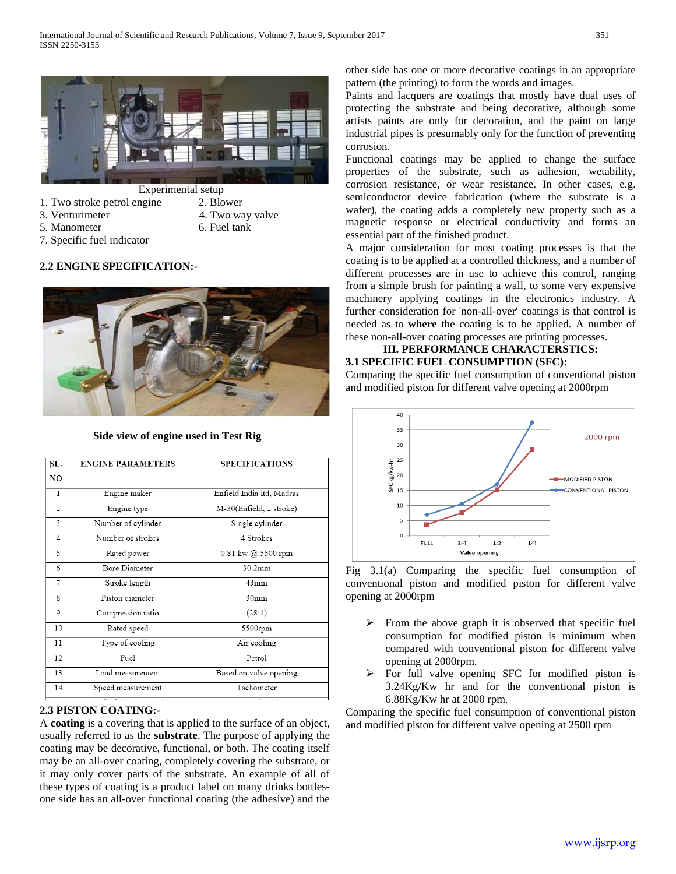

- 1. Two stroke petrol engine 2. Blower
	-
- 
- -
- 5. Manometer 6. Fuel tank
- 3. Venturimeter 4. Two way valve
- 7. Specific fuel indicator

## **2.2 ENGINE SPECIFICATION:-**



#### **Side view of engine used in Test Rig**

| SL.            | <b>ENGINE PARAMETERS</b> | <b>SPECIFICATIONS</b>                    |
|----------------|--------------------------|------------------------------------------|
| NO             |                          |                                          |
| 1              | Engine maker             | Enfield India ltd, Madras                |
| $\overline{c}$ | Engine type              | M-30(Enfield, 2 stroke)                  |
| 3              | Number of cylinder       | Single cylinder                          |
| $\overline{4}$ | Number of strokes        | 4 Strokes                                |
| 5              | Rated power              | $0.81 \text{ kw}$ ( $\hat{a}$ ) 5500 rpm |
| 6              | Bore Diameter            | 30.2mm                                   |
| 7              | Stroke length            | $43$ mm                                  |
| 8              | Piston diameter          | 30 <sub>mm</sub>                         |
| 9              | Compression ratio        | (28:1)                                   |
| 10             | Rated speed              | 5500rpm                                  |
| 11             | Type of cooling          | Air cooling                              |
| 12             | Fuel                     | Petrol                                   |
| 13             | Load measurement         | Based on valve opening                   |
| 14             | Speed measurement        | Tachometer                               |
|                | $-$                      |                                          |

## **2.3 PISTON COATING:-**

A **coating** is a covering that is applied to the surface of an object, usually referred to as the **substrate**. The purpose of applying the coating may be decorative, functional, or both. The coating itself may be an all-over coating, completely covering the substrate, or it may only cover parts of the substrate. An example of all of these types of coating is a product label on many drinks bottlesone side has an all-over functional coating (the adhesive) and the other side has one or more decorative coatings in an appropriate pattern (the printing) to form the words and images.

Paints and lacquers are coatings that mostly have dual uses of protecting the substrate and being decorative, although some artists paints are only for decoration, and the paint on large industrial pipes is presumably only for the function of preventing corrosion.

Functional coatings may be applied to change the surface properties of the substrate, such as adhesion, wetability, corrosion resistance, or wear resistance. In other cases, e.g. semiconductor device fabrication (where the substrate is a wafer), the coating adds a completely new property such as a magnetic response or electrical conductivity and forms an essential part of the finished product.

A major consideration for most coating processes is that the coating is to be applied at a controlled thickness, and a number of different processes are in use to achieve this control, ranging from a simple brush for painting a wall, to some very expensive machinery applying coatings in the electronics industry. A further consideration for 'non-all-over' coatings is that control is needed as to **where** the coating is to be applied. A number of these non-all-over coating processes are printing processes.

### **III. PERFORMANCE CHARACTERSTICS: 3.1 SPECIFIC FUEL CONSUMPTION (SFC):**

Comparing the specific fuel consumption of conventional piston and modified piston for different valve opening at 2000rpm



Fig 3.1(a) Comparing the specific fuel consumption of conventional piston and modified piston for different valve opening at 2000rpm

- $\triangleright$  From the above graph it is observed that specific fuel consumption for modified piston is minimum when compared with conventional piston for different valve opening at 2000rpm.
- $\triangleright$  For full valve opening SFC for modified piston is 3.24Kg/Kw hr and for the conventional piston is 6.88Kg/Kw hr at 2000 rpm.

Comparing the specific fuel consumption of conventional piston and modified piston for different valve opening at 2500 rpm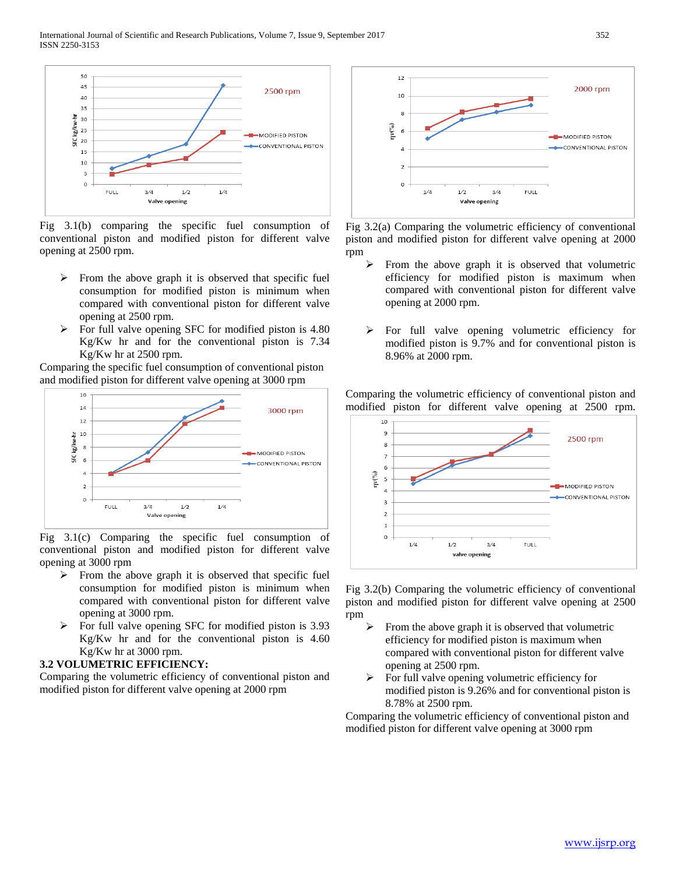

Fig 3.1(b) comparing the specific fuel consumption of conventional piston and modified piston for different valve opening at 2500 rpm.

- $\triangleright$  From the above graph it is observed that specific fuel consumption for modified piston is minimum when compared with conventional piston for different valve opening at 2500 rpm.
- $\triangleright$  For full valve opening SFC for modified piston is 4.80 Kg/Kw hr and for the conventional piston is 7.34 Kg/Kw hr at 2500 rpm.

Comparing the specific fuel consumption of conventional piston and modified piston for different valve opening at 3000 rpm



Fig 3.1(c) Comparing the specific fuel consumption of conventional piston and modified piston for different valve opening at 3000 rpm

- $\triangleright$  From the above graph it is observed that specific fuel consumption for modified piston is minimum when compared with conventional piston for different valve opening at 3000 rpm.
- $\triangleright$  For full valve opening SFC for modified piston is 3.93 Kg/Kw hr and for the conventional piston is 4.60 Kg/Kw hr at 3000 rpm.

## **3.2 VOLUMETRIC EFFICIENCY:**

Comparing the volumetric efficiency of conventional piston and modified piston for different valve opening at 2000 rpm



Fig 3.2(a) Comparing the volumetric efficiency of conventional piston and modified piston for different valve opening at 2000 rpm

- From the above graph it is observed that volumetric efficiency for modified piston is maximum when compared with conventional piston for different valve opening at 2000 rpm.
- $\triangleright$  For full valve opening volumetric efficiency for modified piston is 9.7% and for conventional piston is 8.96% at 2000 rpm.

Comparing the volumetric efficiency of conventional piston and modified piston for different valve opening at 2500 rpm.



Fig 3.2(b) Comparing the volumetric efficiency of conventional piston and modified piston for different valve opening at 2500 rpm

- From the above graph it is observed that volumetric efficiency for modified piston is maximum when compared with conventional piston for different valve opening at 2500 rpm.
- $\triangleright$  For full valve opening volumetric efficiency for modified piston is 9.26% and for conventional piston is 8.78% at 2500 rpm.

Comparing the volumetric efficiency of conventional piston and modified piston for different valve opening at 3000 rpm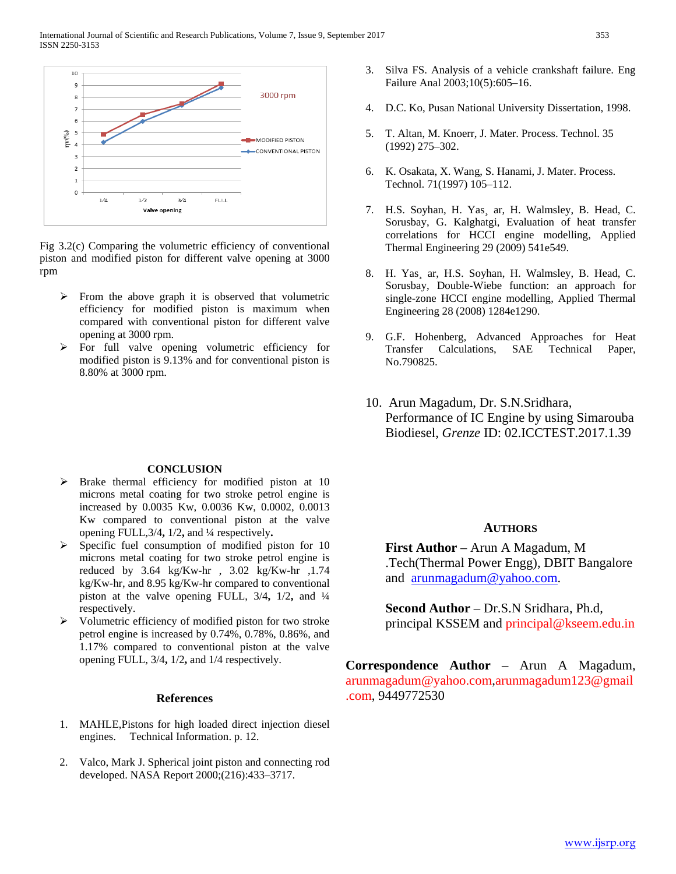

Fig 3.2(c) Comparing the volumetric efficiency of conventional piston and modified piston for different valve opening at 3000 rpm

- $\triangleright$  From the above graph it is observed that volumetric efficiency for modified piston is maximum when compared with conventional piston for different valve opening at 3000 rpm.
- $\triangleright$  For full valve opening volumetric efficiency for modified piston is 9.13% and for conventional piston is 8.80% at 3000 rpm.

#### **CONCLUSION**

- $\triangleright$  Brake thermal efficiency for modified piston at 10 microns metal coating for two stroke petrol engine is increased by 0.0035 Kw, 0.0036 Kw, 0.0002, 0.0013 Kw compared to conventional piston at the valve opening FULL,3/4**,** 1/2**,** and ¼ respectively**.**
- Specific fuel consumption of modified piston for 10 microns metal coating for two stroke petrol engine is reduced by 3.64 kg/Kw-hr , 3.02 kg/Kw-hr ,1.74 kg/Kw-hr, and 8.95 kg/Kw-hr compared to conventional piston at the valve opening FULL, 3/4**,** 1/2**,** and ¼ respectively.
- $\triangleright$  Volumetric efficiency of modified piston for two stroke petrol engine is increased by 0.74%, 0.78%, 0.86%, and 1.17% compared to conventional piston at the valve opening FULL, 3/4**,** 1/2**,** and 1/4 respectively.

#### **References**

- 1. MAHLE,Pistons for high loaded direct injection diesel engines. Technical Information. p. 12.
- 2. Valco, Mark J. Spherical joint piston and connecting rod developed. NASA Report 2000;(216):433–3717.
- 3. Silva FS. Analysis of a vehicle crankshaft failure. Eng Failure Anal 2003;10(5):605–16.
- 4. D.C. Ko, Pusan National University Dissertation, 1998.
- 5. T. Altan, M. Knoerr, J. Mater. Process. Technol. 35 (1992) 275–302.
- 6. K. Osakata, X. Wang, S. Hanami, J. Mater. Process. Technol. 71(1997) 105–112.
- 7. H.S. Soyhan, H. Yas¸ ar, H. Walmsley, B. Head, C. Sorusbay, G. Kalghatgi, Evaluation of heat transfer correlations for HCCI engine modelling, Applied Thermal Engineering 29 (2009) 541e549.
- 8. H. Yas¸ ar, H.S. Soyhan, H. Walmsley, B. Head, C. Sorusbay, Double-Wiebe function: an approach for single-zone HCCI engine modelling, Applied Thermal Engineering 28 (2008) 1284e1290.
- 9. G.F. Hohenberg, Advanced Approaches for Heat Transfer Calculations, SAE Technical Paper, No.790825.
- 10. Arun Magadum, Dr. S.N.Sridhara, Performance of IC Engine by using Simarouba Biodiesel, *Grenze* ID: 02.ICCTEST.2017.1.39

#### **AUTHORS**

**First Author** – Arun A Magadum, M .Tech(Thermal Power Engg), DBIT Bangalore and [arunmagadum@yahoo.com.](mailto:arunmagadum@yahoo.com)

**Second Author** – Dr.S.N Sridhara, Ph.d, principal KSSEM and principal@kseem.edu.in

**Correspondence Author** – Arun A Magadum, arunmagadum@yahoo.com,arunmagadum123@gmail .com, 9449772530